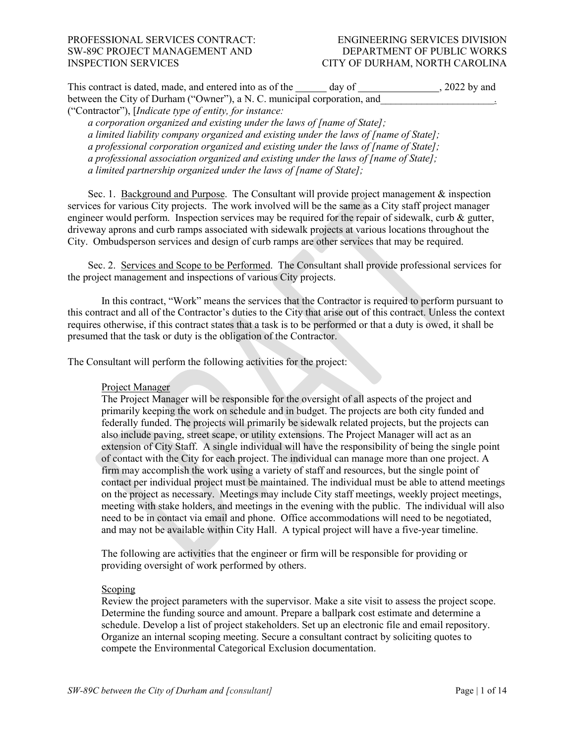| This contract is dated, made, and entered into as of the                 | , 2022 by and<br>day of |  |
|--------------------------------------------------------------------------|-------------------------|--|
| between the City of Durham ("Owner"), a N. C. municipal corporation, and |                         |  |
| ("Contractor"), [ <i>Indicate type of entity, for instance</i> :         |                         |  |

*a corporation organized and existing under the laws of [name of State]; a limited liability company organized and existing under the laws of [name of State]; a professional corporation organized and existing under the laws of [name of State]; a professional association organized and existing under the laws of [name of State]; a limited partnership organized under the laws of [name of State];* 

Sec. 1. Background and Purpose. The Consultant will provide project management & inspection services for various City projects. The work involved will be the same as a City staff project manager engineer would perform. Inspection services may be required for the repair of sidewalk, curb & gutter, driveway aprons and curb ramps associated with sidewalk projects at various locations throughout the City. Ombudsperson services and design of curb ramps are other services that may be required.

Sec. 2. Services and Scope to be Performed. The Consultant shall provide professional services for the project management and inspections of various City projects.

In this contract, "Work" means the services that the Contractor is required to perform pursuant to this contract and all of the Contractor's duties to the City that arise out of this contract. Unless the context requires otherwise, if this contract states that a task is to be performed or that a duty is owed, it shall be presumed that the task or duty is the obligation of the Contractor.

The Consultant will perform the following activities for the project:

#### Project Manager

The Project Manager will be responsible for the oversight of all aspects of the project and primarily keeping the work on schedule and in budget. The projects are both city funded and federally funded. The projects will primarily be sidewalk related projects, but the projects can also include paving, street scape, or utility extensions. The Project Manager will act as an extension of City Staff. A single individual will have the responsibility of being the single point of contact with the City for each project. The individual can manage more than one project. A firm may accomplish the work using a variety of staff and resources, but the single point of contact per individual project must be maintained. The individual must be able to attend meetings on the project as necessary. Meetings may include City staff meetings, weekly project meetings, meeting with stake holders, and meetings in the evening with the public. The individual will also need to be in contact via email and phone. Office accommodations will need to be negotiated, and may not be available within City Hall. A typical project will have a five-year timeline.

The following are activities that the engineer or firm will be responsible for providing or providing oversight of work performed by others.

#### Scoping

Review the project parameters with the supervisor. Make a site visit to assess the project scope. Determine the funding source and amount. Prepare a ballpark cost estimate and determine a schedule. Develop a list of project stakeholders. Set up an electronic file and email repository. Organize an internal scoping meeting. Secure a consultant contract by soliciting quotes to compete the Environmental Categorical Exclusion documentation.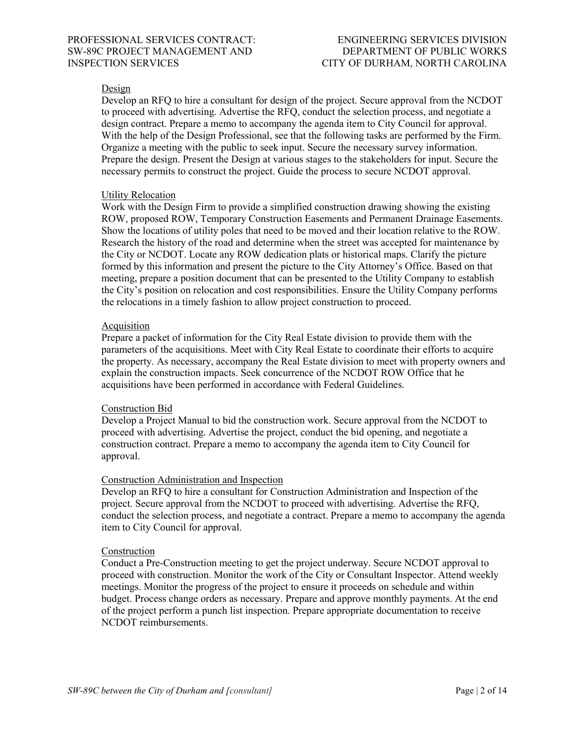### Design

Develop an RFQ to hire a consultant for design of the project. Secure approval from the NCDOT to proceed with advertising. Advertise the RFQ, conduct the selection process, and negotiate a design contract. Prepare a memo to accompany the agenda item to City Council for approval. With the help of the Design Professional, see that the following tasks are performed by the Firm. Organize a meeting with the public to seek input. Secure the necessary survey information. Prepare the design. Present the Design at various stages to the stakeholders for input. Secure the necessary permits to construct the project. Guide the process to secure NCDOT approval.

#### Utility Relocation

Work with the Design Firm to provide a simplified construction drawing showing the existing ROW, proposed ROW, Temporary Construction Easements and Permanent Drainage Easements. Show the locations of utility poles that need to be moved and their location relative to the ROW. Research the history of the road and determine when the street was accepted for maintenance by the City or NCDOT. Locate any ROW dedication plats or historical maps. Clarify the picture formed by this information and present the picture to the City Attorney's Office. Based on that meeting, prepare a position document that can be presented to the Utility Company to establish the City's position on relocation and cost responsibilities. Ensure the Utility Company performs the relocations in a timely fashion to allow project construction to proceed.

#### Acquisition

Prepare a packet of information for the City Real Estate division to provide them with the parameters of the acquisitions. Meet with City Real Estate to coordinate their efforts to acquire the property. As necessary, accompany the Real Estate division to meet with property owners and explain the construction impacts. Seek concurrence of the NCDOT ROW Office that he acquisitions have been performed in accordance with Federal Guidelines.

#### Construction Bid

Develop a Project Manual to bid the construction work. Secure approval from the NCDOT to proceed with advertising. Advertise the project, conduct the bid opening, and negotiate a construction contract. Prepare a memo to accompany the agenda item to City Council for approval.

### Construction Administration and Inspection

Develop an RFQ to hire a consultant for Construction Administration and Inspection of the project. Secure approval from the NCDOT to proceed with advertising. Advertise the RFQ, conduct the selection process, and negotiate a contract. Prepare a memo to accompany the agenda item to City Council for approval.

#### Construction

Conduct a Pre-Construction meeting to get the project underway. Secure NCDOT approval to proceed with construction. Monitor the work of the City or Consultant Inspector. Attend weekly meetings. Monitor the progress of the project to ensure it proceeds on schedule and within budget. Process change orders as necessary. Prepare and approve monthly payments. At the end of the project perform a punch list inspection. Prepare appropriate documentation to receive NCDOT reimbursements.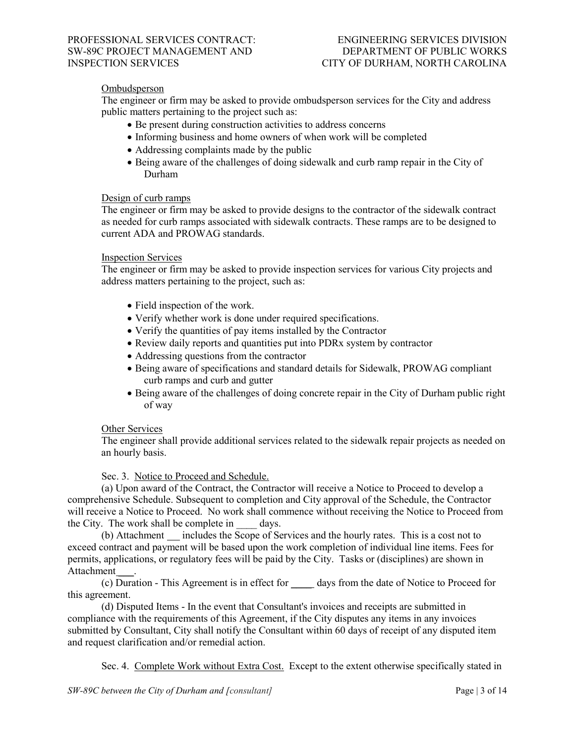### Ombudsperson

The engineer or firm may be asked to provide ombudsperson services for the City and address public matters pertaining to the project such as:

- Be present during construction activities to address concerns
- Informing business and home owners of when work will be completed
- Addressing complaints made by the public
- Being aware of the challenges of doing sidewalk and curb ramp repair in the City of Durham

#### Design of curb ramps

The engineer or firm may be asked to provide designs to the contractor of the sidewalk contract as needed for curb ramps associated with sidewalk contracts. These ramps are to be designed to current ADA and PROWAG standards.

#### Inspection Services

The engineer or firm may be asked to provide inspection services for various City projects and address matters pertaining to the project, such as:

- Field inspection of the work.
- Verify whether work is done under required specifications.
- Verify the quantities of pay items installed by the Contractor
- Review daily reports and quantities put into PDRx system by contractor
- Addressing questions from the contractor
- Being aware of specifications and standard details for Sidewalk, PROWAG compliant curb ramps and curb and gutter
- Being aware of the challenges of doing concrete repair in the City of Durham public right of way

#### Other Services

The engineer shall provide additional services related to the sidewalk repair projects as needed on an hourly basis.

Sec. 3. Notice to Proceed and Schedule.

(a) Upon award of the Contract, the Contractor will receive a Notice to Proceed to develop a comprehensive Schedule. Subsequent to completion and City approval of the Schedule, the Contractor will receive a Notice to Proceed. No work shall commence without receiving the Notice to Proceed from the City. The work shall be complete in days.

(b) Attachment \_\_\_ includes the Scope of Services and the hourly rates. This is a cost not to exceed contract and payment will be based upon the work completion of individual line items. Fees for permits, applications, or regulatory fees will be paid by the City. Tasks or (disciplines) are shown in Attachment .

(c) Duration - This Agreement is in effect for \_\_\_\_ days from the date of Notice to Proceed for this agreement.

(d) Disputed Items - In the event that Consultant's invoices and receipts are submitted in compliance with the requirements of this Agreement, if the City disputes any items in any invoices submitted by Consultant, City shall notify the Consultant within 60 days of receipt of any disputed item and request clarification and/or remedial action.

Sec. 4. Complete Work without Extra Cost. Except to the extent otherwise specifically stated in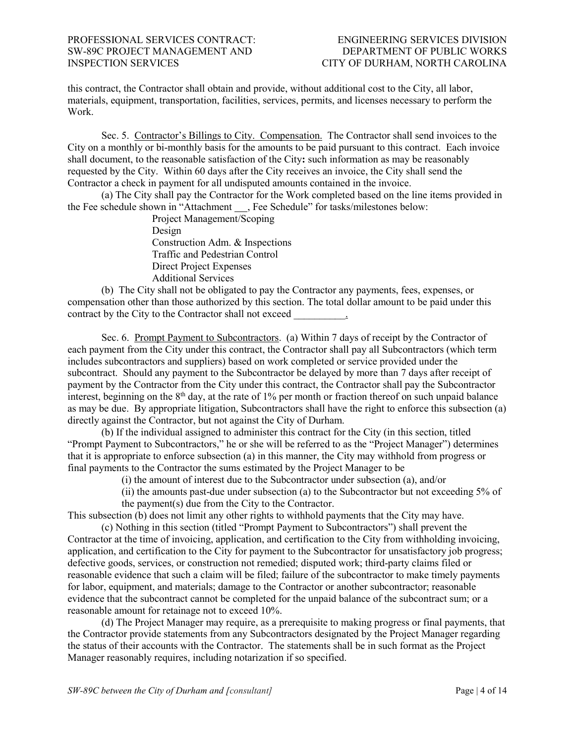this contract, the Contractor shall obtain and provide, without additional cost to the City, all labor, materials, equipment, transportation, facilities, services, permits, and licenses necessary to perform the Work.

Sec. 5. Contractor's Billings to City. Compensation. The Contractor shall send invoices to the City on a monthly or bi-monthly basis for the amounts to be paid pursuant to this contract. Each invoice shall document, to the reasonable satisfaction of the City**:** such information as may be reasonably requested by the City. Within 60 days after the City receives an invoice, the City shall send the Contractor a check in payment for all undisputed amounts contained in the invoice.

(a) The City shall pay the Contractor for the Work completed based on the line items provided in the Fee schedule shown in "Attachment , Fee Schedule" for tasks/milestones below:

> Project Management/Scoping Design Construction Adm. & Inspections Traffic and Pedestrian Control Direct Project Expenses Additional Services

(b) The City shall not be obligated to pay the Contractor any payments, fees, expenses, or compensation other than those authorized by this section. The total dollar amount to be paid under this contract by the City to the Contractor shall not exceed  $\blacksquare$ 

Sec. 6. Prompt Payment to Subcontractors. (a) Within 7 days of receipt by the Contractor of each payment from the City under this contract, the Contractor shall pay all Subcontractors (which term includes subcontractors and suppliers) based on work completed or service provided under the subcontract. Should any payment to the Subcontractor be delayed by more than 7 days after receipt of payment by the Contractor from the City under this contract, the Contractor shall pay the Subcontractor interest, beginning on the  $8<sup>th</sup>$  day, at the rate of 1% per month or fraction thereof on such unpaid balance as may be due. By appropriate litigation, Subcontractors shall have the right to enforce this subsection (a) directly against the Contractor, but not against the City of Durham.

(b) If the individual assigned to administer this contract for the City (in this section, titled "Prompt Payment to Subcontractors," he or she will be referred to as the "Project Manager") determines that it is appropriate to enforce subsection (a) in this manner, the City may withhold from progress or final payments to the Contractor the sums estimated by the Project Manager to be

(i) the amount of interest due to the Subcontractor under subsection (a), and/or

(ii) the amounts past-due under subsection (a) to the Subcontractor but not exceeding 5% of the payment(s) due from the City to the Contractor.

This subsection (b) does not limit any other rights to withhold payments that the City may have.

(c) Nothing in this section (titled "Prompt Payment to Subcontractors") shall prevent the Contractor at the time of invoicing, application, and certification to the City from withholding invoicing, application, and certification to the City for payment to the Subcontractor for unsatisfactory job progress; defective goods, services, or construction not remedied; disputed work; third-party claims filed or reasonable evidence that such a claim will be filed; failure of the subcontractor to make timely payments for labor, equipment, and materials; damage to the Contractor or another subcontractor; reasonable evidence that the subcontract cannot be completed for the unpaid balance of the subcontract sum; or a reasonable amount for retainage not to exceed 10%.

(d) The Project Manager may require, as a prerequisite to making progress or final payments, that the Contractor provide statements from any Subcontractors designated by the Project Manager regarding the status of their accounts with the Contractor. The statements shall be in such format as the Project Manager reasonably requires, including notarization if so specified.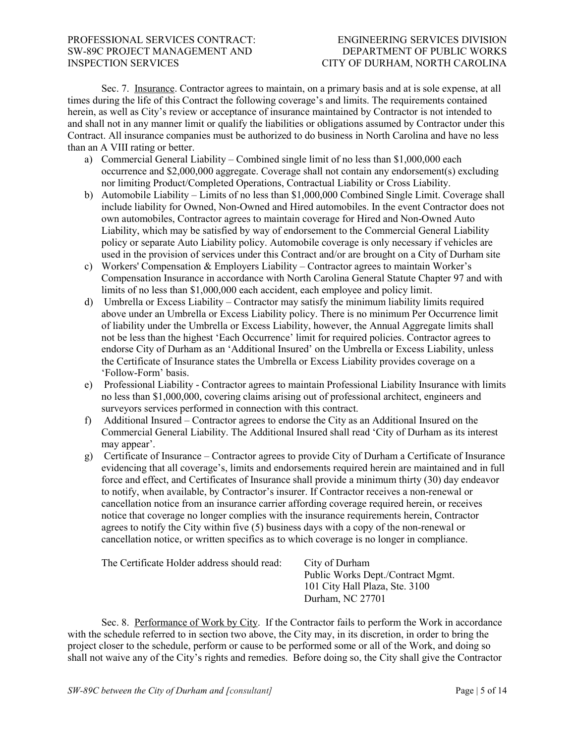Sec. 7. Insurance. Contractor agrees to maintain, on a primary basis and at is sole expense, at all times during the life of this Contract the following coverage's and limits. The requirements contained herein, as well as City's review or acceptance of insurance maintained by Contractor is not intended to and shall not in any manner limit or qualify the liabilities or obligations assumed by Contractor under this Contract. All insurance companies must be authorized to do business in North Carolina and have no less than an A VIII rating or better.

- a) Commercial General Liability Combined single limit of no less than \$1,000,000 each occurrence and \$2,000,000 aggregate. Coverage shall not contain any endorsement(s) excluding nor limiting Product/Completed Operations, Contractual Liability or Cross Liability.
- b) Automobile Liability Limits of no less than \$1,000,000 Combined Single Limit. Coverage shall include liability for Owned, Non-Owned and Hired automobiles. In the event Contractor does not own automobiles, Contractor agrees to maintain coverage for Hired and Non-Owned Auto Liability, which may be satisfied by way of endorsement to the Commercial General Liability policy or separate Auto Liability policy. Automobile coverage is only necessary if vehicles are used in the provision of services under this Contract and/or are brought on a City of Durham site
- c) Workers' Compensation & Employers Liability Contractor agrees to maintain Worker's Compensation Insurance in accordance with North Carolina General Statute Chapter 97 and with limits of no less than \$1,000,000 each accident, each employee and policy limit.
- d) Umbrella or Excess Liability Contractor may satisfy the minimum liability limits required above under an Umbrella or Excess Liability policy. There is no minimum Per Occurrence limit of liability under the Umbrella or Excess Liability, however, the Annual Aggregate limits shall not be less than the highest 'Each Occurrence' limit for required policies. Contractor agrees to endorse City of Durham as an 'Additional Insured' on the Umbrella or Excess Liability, unless the Certificate of Insurance states the Umbrella or Excess Liability provides coverage on a 'Follow-Form' basis.
- e) Professional Liability Contractor agrees to maintain Professional Liability Insurance with limits no less than \$1,000,000, covering claims arising out of professional architect, engineers and surveyors services performed in connection with this contract.
- f) Additional Insured Contractor agrees to endorse the City as an Additional Insured on the Commercial General Liability. The Additional Insured shall read 'City of Durham as its interest may appear'.
- g) Certificate of Insurance Contractor agrees to provide City of Durham a Certificate of Insurance evidencing that all coverage's, limits and endorsements required herein are maintained and in full force and effect, and Certificates of Insurance shall provide a minimum thirty (30) day endeavor to notify, when available, by Contractor's insurer. If Contractor receives a non-renewal or cancellation notice from an insurance carrier affording coverage required herein, or receives notice that coverage no longer complies with the insurance requirements herein, Contractor agrees to notify the City within five (5) business days with a copy of the non-renewal or cancellation notice, or written specifics as to which coverage is no longer in compliance.

| The Certificate Holder address should read: | City of Durham                    |
|---------------------------------------------|-----------------------------------|
|                                             | Public Works Dept./Contract Mgmt. |
|                                             | 101 City Hall Plaza, Ste. 3100    |
|                                             | Durham, NC 27701                  |

Sec. 8. Performance of Work by City. If the Contractor fails to perform the Work in accordance with the schedule referred to in section two above, the City may, in its discretion, in order to bring the project closer to the schedule, perform or cause to be performed some or all of the Work, and doing so shall not waive any of the City's rights and remedies. Before doing so, the City shall give the Contractor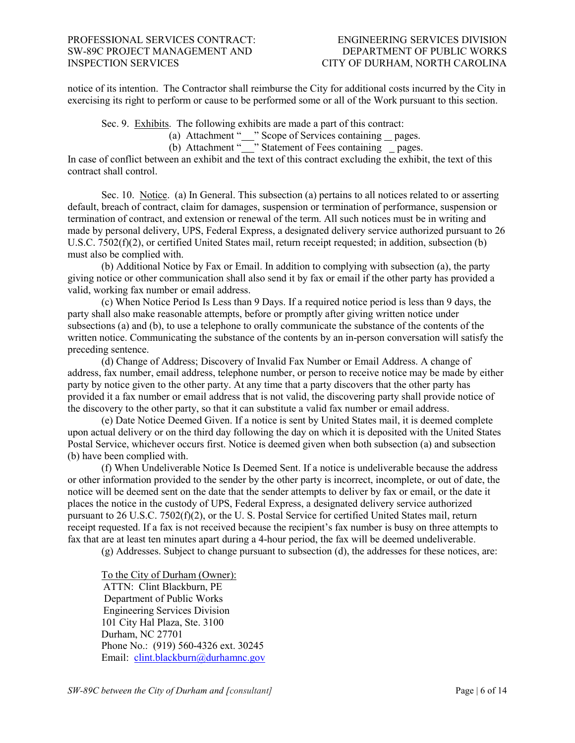notice of its intention. The Contractor shall reimburse the City for additional costs incurred by the City in exercising its right to perform or cause to be performed some or all of the Work pursuant to this section.

Sec. 9. Exhibits. The following exhibits are made a part of this contract:

(a) Attachment "\_\_" Scope of Services containing \_pages.

(b) Attachment "\_\_\_" Statement of Fees containing \_pages.

In case of conflict between an exhibit and the text of this contract excluding the exhibit, the text of this contract shall control.

Sec. 10. Notice. (a) In General. This subsection (a) pertains to all notices related to or asserting default, breach of contract, claim for damages, suspension or termination of performance, suspension or termination of contract, and extension or renewal of the term. All such notices must be in writing and made by personal delivery, UPS, Federal Express, a designated delivery service authorized pursuant to 26 U.S.C. 7502(f)(2), or certified United States mail, return receipt requested; in addition, subsection (b) must also be complied with.

(b) Additional Notice by Fax or Email. In addition to complying with subsection (a), the party giving notice or other communication shall also send it by fax or email if the other party has provided a valid, working fax number or email address.

(c) When Notice Period Is Less than 9 Days. If a required notice period is less than 9 days, the party shall also make reasonable attempts, before or promptly after giving written notice under subsections (a) and (b), to use a telephone to orally communicate the substance of the contents of the written notice. Communicating the substance of the contents by an in-person conversation will satisfy the preceding sentence.

(d) Change of Address; Discovery of Invalid Fax Number or Email Address. A change of address, fax number, email address, telephone number, or person to receive notice may be made by either party by notice given to the other party. At any time that a party discovers that the other party has provided it a fax number or email address that is not valid, the discovering party shall provide notice of the discovery to the other party, so that it can substitute a valid fax number or email address.

(e) Date Notice Deemed Given. If a notice is sent by United States mail, it is deemed complete upon actual delivery or on the third day following the day on which it is deposited with the United States Postal Service, whichever occurs first. Notice is deemed given when both subsection (a) and subsection (b) have been complied with.

(f) When Undeliverable Notice Is Deemed Sent. If a notice is undeliverable because the address or other information provided to the sender by the other party is incorrect, incomplete, or out of date, the notice will be deemed sent on the date that the sender attempts to deliver by fax or email, or the date it places the notice in the custody of UPS, Federal Express, a designated delivery service authorized pursuant to 26 U.S.C. 7502(f)(2), or the U. S. Postal Service for certified United States mail, return receipt requested. If a fax is not received because the recipient's fax number is busy on three attempts to fax that are at least ten minutes apart during a 4-hour period, the fax will be deemed undeliverable.

(g) Addresses. Subject to change pursuant to subsection (d), the addresses for these notices, are:

To the City of Durham (Owner): ATTN: Clint Blackburn, PE Department of Public Works Engineering Services Division 101 City Hal Plaza, Ste. 3100 Durham, NC 27701 Phone No.: (919) 560-4326 ext. 30245 Email: [clint.blackburn@durhamnc.gov](mailto:clint.blackburn@durhamnc.gov)

*SW-89C between the City of Durham and [consultant]* Page | 6 of 14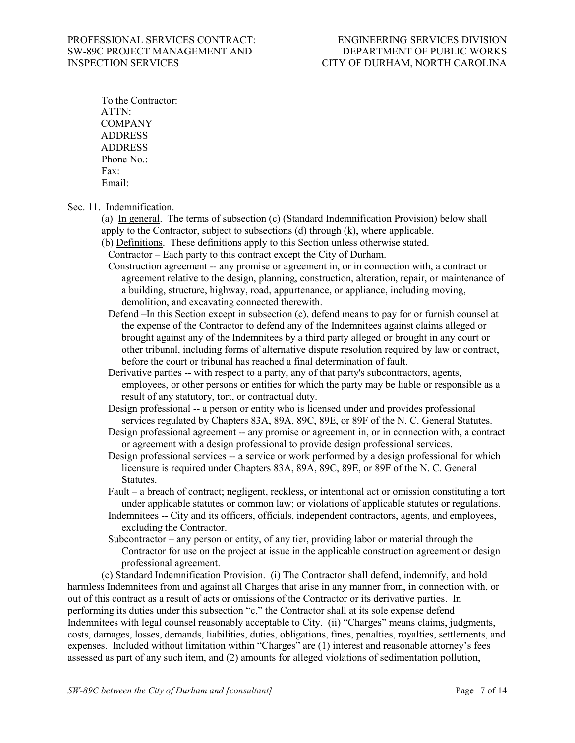To the Contractor: ATTN: **COMPANY** ADDRESS ADDRESS Phone No.: Fax: Email:

Sec. 11. Indemnification.

(a) In general. The terms of subsection (c) (Standard Indemnification Provision) below shall apply to the Contractor, subject to subsections (d) through (k), where applicable.

- (b) Definitions. These definitions apply to this Section unless otherwise stated.
- Contractor Each party to this contract except the City of Durham.
- Construction agreement -- any promise or agreement in, or in connection with, a contract or agreement relative to the design, planning, construction, alteration, repair, or maintenance of a building, structure, highway, road, appurtenance, or appliance, including moving, demolition, and excavating connected therewith.
- Defend –In this Section except in subsection (c), defend means to pay for or furnish counsel at the expense of the Contractor to defend any of the Indemnitees against claims alleged or brought against any of the Indemnitees by a third party alleged or brought in any court or other tribunal, including forms of alternative dispute resolution required by law or contract, before the court or tribunal has reached a final determination of fault.
- Derivative parties -- with respect to a party, any of that party's subcontractors, agents, employees, or other persons or entities for which the party may be liable or responsible as a result of any statutory, tort, or contractual duty.
- Design professional -- a person or entity who is licensed under and provides professional services regulated by Chapters 83A, 89A, 89C, 89E, or 89F of the N. C. General Statutes.
- Design professional agreement -- any promise or agreement in, or in connection with, a contract or agreement with a design professional to provide design professional services.
- Design professional services -- a service or work performed by a design professional for which licensure is required under Chapters 83A, 89A, 89C, 89E, or 89F of the N. C. General Statutes.
- Fault a breach of contract; negligent, reckless, or intentional act or omission constituting a tort under applicable statutes or common law; or violations of applicable statutes or regulations.
- Indemnitees -- City and its officers, officials, independent contractors, agents, and employees, excluding the Contractor.
- Subcontractor any person or entity, of any tier, providing labor or material through the Contractor for use on the project at issue in the applicable construction agreement or design professional agreement.

(c) Standard Indemnification Provision. (i) The Contractor shall defend, indemnify, and hold harmless Indemnitees from and against all Charges that arise in any manner from, in connection with, or out of this contract as a result of acts or omissions of the Contractor or its derivative parties. In performing its duties under this subsection "c," the Contractor shall at its sole expense defend Indemnitees with legal counsel reasonably acceptable to City. (ii) "Charges" means claims, judgments, costs, damages, losses, demands, liabilities, duties, obligations, fines, penalties, royalties, settlements, and expenses. Included without limitation within "Charges" are (1) interest and reasonable attorney's fees assessed as part of any such item, and (2) amounts for alleged violations of sedimentation pollution,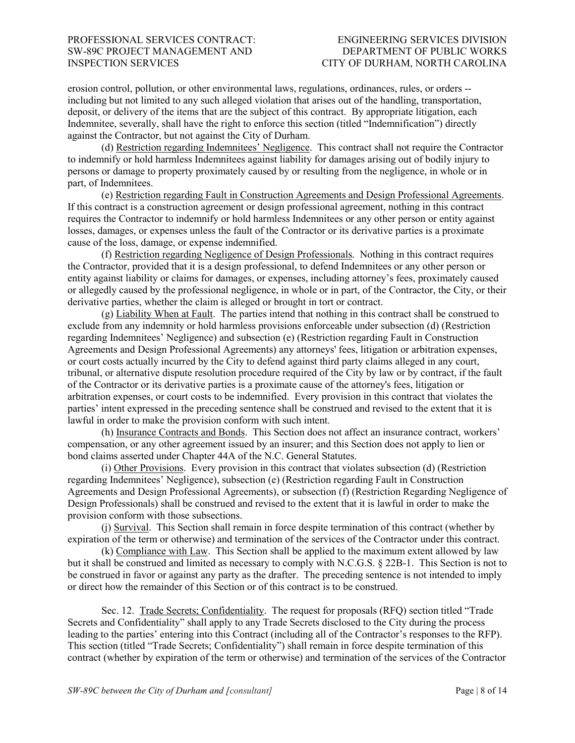erosion control, pollution, or other environmental laws, regulations, ordinances, rules, or orders - including but not limited to any such alleged violation that arises out of the handling, transportation, deposit, or delivery of the items that are the subject of this contract. By appropriate litigation, each Indemnitee, severally, shall have the right to enforce this section (titled "Indemnification") directly against the Contractor, but not against the City of Durham.

(d) Restriction regarding Indemnitees' Negligence. This contract shall not require the Contractor to indemnify or hold harmless Indemnitees against liability for damages arising out of bodily injury to persons or damage to property proximately caused by or resulting from the negligence, in whole or in part, of Indemnitees.

(e) Restriction regarding Fault in Construction Agreements and Design Professional Agreements. If this contract is a construction agreement or design professional agreement, nothing in this contract requires the Contractor to indemnify or hold harmless Indemnitees or any other person or entity against losses, damages, or expenses unless the fault of the Contractor or its derivative parties is a proximate cause of the loss, damage, or expense indemnified.

(f) Restriction regarding Negligence of Design Professionals. Nothing in this contract requires the Contractor, provided that it is a design professional, to defend Indemnitees or any other person or entity against liability or claims for damages, or expenses, including attorney's fees, proximately caused or allegedly caused by the professional negligence, in whole or in part, of the Contractor, the City, or their derivative parties, whether the claim is alleged or brought in tort or contract.

(g) Liability When at Fault. The parties intend that nothing in this contract shall be construed to exclude from any indemnity or hold harmless provisions enforceable under subsection (d) (Restriction regarding Indemnitees' Negligence) and subsection (e) (Restriction regarding Fault in Construction Agreements and Design Professional Agreements) any attorneys' fees, litigation or arbitration expenses, or court costs actually incurred by the City to defend against third party claims alleged in any court, tribunal, or alternative dispute resolution procedure required of the City by law or by contract, if the fault of the Contractor or its derivative parties is a proximate cause of the attorney's fees, litigation or arbitration expenses, or court costs to be indemnified. Every provision in this contract that violates the parties' intent expressed in the preceding sentence shall be construed and revised to the extent that it is lawful in order to make the provision conform with such intent.

(h) Insurance Contracts and Bonds. This Section does not affect an insurance contract, workers' compensation, or any other agreement issued by an insurer; and this Section does not apply to lien or bond claims asserted under Chapter 44A of the N.C. General Statutes.

(i) Other Provisions. Every provision in this contract that violates subsection (d) (Restriction regarding Indemnitees' Negligence), subsection (e) (Restriction regarding Fault in Construction Agreements and Design Professional Agreements), or subsection (f) (Restriction Regarding Negligence of Design Professionals) shall be construed and revised to the extent that it is lawful in order to make the provision conform with those subsections.

(j) Survival. This Section shall remain in force despite termination of this contract (whether by expiration of the term or otherwise) and termination of the services of the Contractor under this contract.

(k) Compliance with Law. This Section shall be applied to the maximum extent allowed by law but it shall be construed and limited as necessary to comply with N.C.G.S. § 22B-1. This Section is not to be construed in favor or against any party as the drafter. The preceding sentence is not intended to imply or direct how the remainder of this Section or of this contract is to be construed.

Sec. 12. Trade Secrets; Confidentiality. The request for proposals (RFQ) section titled "Trade Secrets and Confidentiality" shall apply to any Trade Secrets disclosed to the City during the process leading to the parties' entering into this Contract (including all of the Contractor's responses to the RFP). This section (titled "Trade Secrets; Confidentiality") shall remain in force despite termination of this contract (whether by expiration of the term or otherwise) and termination of the services of the Contractor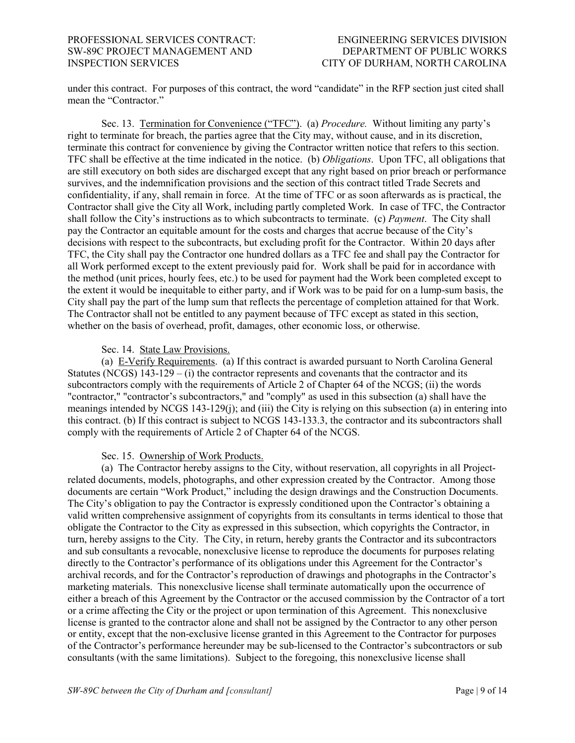under this contract. For purposes of this contract, the word "candidate" in the RFP section just cited shall mean the "Contractor."

Sec. 13. Termination for Convenience ("TFC"). (a) *Procedure.* Without limiting any party's right to terminate for breach, the parties agree that the City may, without cause, and in its discretion, terminate this contract for convenience by giving the Contractor written notice that refers to this section. TFC shall be effective at the time indicated in the notice. (b) *Obligations*. Upon TFC, all obligations that are still executory on both sides are discharged except that any right based on prior breach or performance survives, and the indemnification provisions and the section of this contract titled Trade Secrets and confidentiality, if any, shall remain in force. At the time of TFC or as soon afterwards as is practical, the Contractor shall give the City all Work, including partly completed Work. In case of TFC, the Contractor shall follow the City's instructions as to which subcontracts to terminate. (c) *Payment*. The City shall pay the Contractor an equitable amount for the costs and charges that accrue because of the City's decisions with respect to the subcontracts, but excluding profit for the Contractor. Within 20 days after TFC, the City shall pay the Contractor one hundred dollars as a TFC fee and shall pay the Contractor for all Work performed except to the extent previously paid for. Work shall be paid for in accordance with the method (unit prices, hourly fees, etc.) to be used for payment had the Work been completed except to the extent it would be inequitable to either party, and if Work was to be paid for on a lump-sum basis, the City shall pay the part of the lump sum that reflects the percentage of completion attained for that Work. The Contractor shall not be entitled to any payment because of TFC except as stated in this section, whether on the basis of overhead, profit, damages, other economic loss, or otherwise.

#### Sec. 14. State Law Provisions.

(a) E-Verify Requirements. (a) If this contract is awarded pursuant to North Carolina General Statutes (NCGS)  $143-129$  – (i) the contractor represents and covenants that the contractor and its subcontractors comply with the requirements of Article 2 of Chapter 64 of the NCGS; (ii) the words "contractor," "contractor's subcontractors," and "comply" as used in this subsection (a) shall have the meanings intended by NCGS 143-129(j); and (iii) the City is relying on this subsection (a) in entering into this contract. (b) If this contract is subject to NCGS 143-133.3, the contractor and its subcontractors shall comply with the requirements of Article 2 of Chapter 64 of the NCGS.

#### Sec. 15. Ownership of Work Products.

(a) The Contractor hereby assigns to the City, without reservation, all copyrights in all Projectrelated documents, models, photographs, and other expression created by the Contractor. Among those documents are certain "Work Product," including the design drawings and the Construction Documents. The City's obligation to pay the Contractor is expressly conditioned upon the Contractor's obtaining a valid written comprehensive assignment of copyrights from its consultants in terms identical to those that obligate the Contractor to the City as expressed in this subsection, which copyrights the Contractor, in turn, hereby assigns to the City. The City, in return, hereby grants the Contractor and its subcontractors and sub consultants a revocable, nonexclusive license to reproduce the documents for purposes relating directly to the Contractor's performance of its obligations under this Agreement for the Contractor's archival records, and for the Contractor's reproduction of drawings and photographs in the Contractor's marketing materials. This nonexclusive license shall terminate automatically upon the occurrence of either a breach of this Agreement by the Contractor or the accused commission by the Contractor of a tort or a crime affecting the City or the project or upon termination of this Agreement. This nonexclusive license is granted to the contractor alone and shall not be assigned by the Contractor to any other person or entity, except that the non-exclusive license granted in this Agreement to the Contractor for purposes of the Contractor's performance hereunder may be sub-licensed to the Contractor's subcontractors or sub consultants (with the same limitations). Subject to the foregoing, this nonexclusive license shall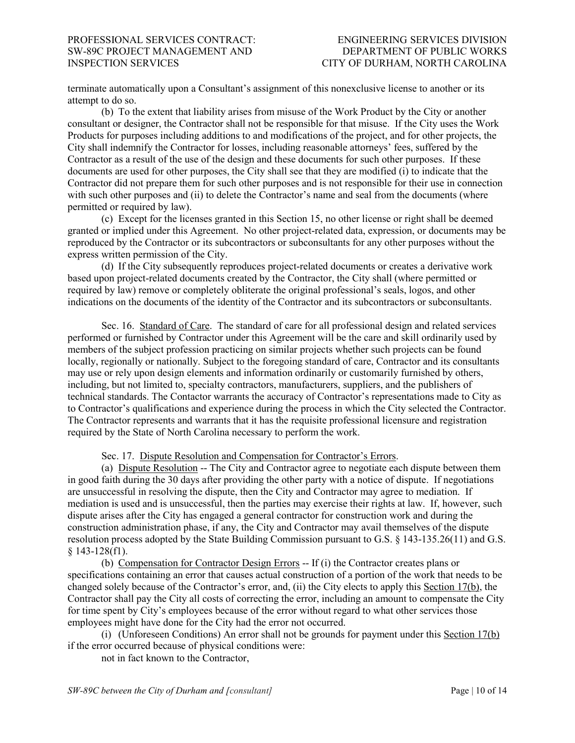terminate automatically upon a Consultant's assignment of this nonexclusive license to another or its attempt to do so.

(b) To the extent that liability arises from misuse of the Work Product by the City or another consultant or designer, the Contractor shall not be responsible for that misuse. If the City uses the Work Products for purposes including additions to and modifications of the project, and for other projects, the City shall indemnify the Contractor for losses, including reasonable attorneys' fees, suffered by the Contractor as a result of the use of the design and these documents for such other purposes. If these documents are used for other purposes, the City shall see that they are modified (i) to indicate that the Contractor did not prepare them for such other purposes and is not responsible for their use in connection with such other purposes and (ii) to delete the Contractor's name and seal from the documents (where permitted or required by law).

(c) Except for the licenses granted in this Section 15, no other license or right shall be deemed granted or implied under this Agreement. No other project-related data, expression, or documents may be reproduced by the Contractor or its subcontractors or subconsultants for any other purposes without the express written permission of the City.

(d) If the City subsequently reproduces project-related documents or creates a derivative work based upon project-related documents created by the Contractor, the City shall (where permitted or required by law) remove or completely obliterate the original professional's seals, logos, and other indications on the documents of the identity of the Contractor and its subcontractors or subconsultants.

Sec. 16. Standard of Care. The standard of care for all professional design and related services performed or furnished by Contractor under this Agreement will be the care and skill ordinarily used by members of the subject profession practicing on similar projects whether such projects can be found locally, regionally or nationally. Subject to the foregoing standard of care, Contractor and its consultants may use or rely upon design elements and information ordinarily or customarily furnished by others, including, but not limited to, specialty contractors, manufacturers, suppliers, and the publishers of technical standards. The Contactor warrants the accuracy of Contractor's representations made to City as to Contractor's qualifications and experience during the process in which the City selected the Contractor. The Contractor represents and warrants that it has the requisite professional licensure and registration required by the State of North Carolina necessary to perform the work.

Sec. 17. Dispute Resolution and Compensation for Contractor's Errors.

(a) Dispute Resolution -- The City and Contractor agree to negotiate each dispute between them in good faith during the 30 days after providing the other party with a notice of dispute. If negotiations are unsuccessful in resolving the dispute, then the City and Contractor may agree to mediation. If mediation is used and is unsuccessful, then the parties may exercise their rights at law. If, however, such dispute arises after the City has engaged a general contractor for construction work and during the construction administration phase, if any, the City and Contractor may avail themselves of the dispute resolution process adopted by the State Building Commission pursuant to G.S. § 143-135.26(11) and G.S. § 143-128(f1).

(b) Compensation for Contractor Design Errors -- If (i) the Contractor creates plans or specifications containing an error that causes actual construction of a portion of the work that needs to be changed solely because of the Contractor's error, and, (ii) the City elects to apply this Section 17(b), the Contractor shall pay the City all costs of correcting the error, including an amount to compensate the City for time spent by City's employees because of the error without regard to what other services those employees might have done for the City had the error not occurred.

(i) (Unforeseen Conditions) An error shall not be grounds for payment under this Section 17(b) if the error occurred because of physical conditions were:

not in fact known to the Contractor,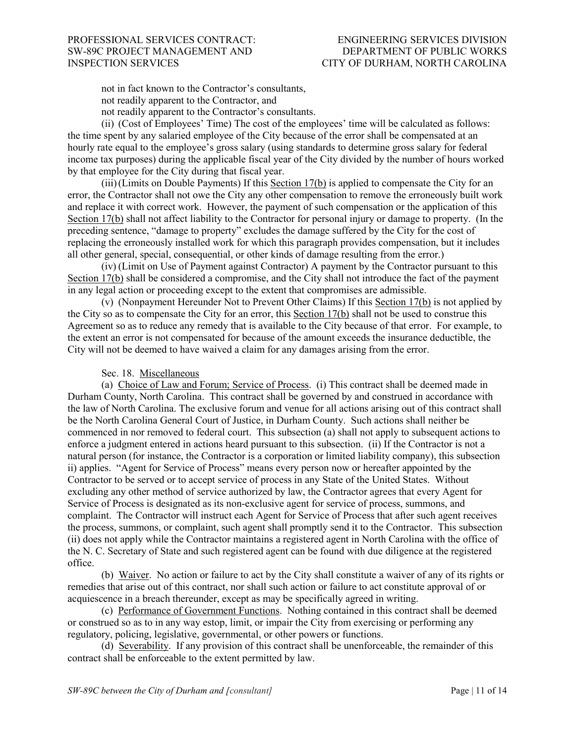not in fact known to the Contractor's consultants,

not readily apparent to the Contractor, and

not readily apparent to the Contractor's consultants.

(ii) (Cost of Employees' Time) The cost of the employees' time will be calculated as follows: the time spent by any salaried employee of the City because of the error shall be compensated at an hourly rate equal to the employee's gross salary (using standards to determine gross salary for federal income tax purposes) during the applicable fiscal year of the City divided by the number of hours worked by that employee for the City during that fiscal year.

(iii)(Limits on Double Payments) If this Section 17(b) is applied to compensate the City for an error, the Contractor shall not owe the City any other compensation to remove the erroneously built work and replace it with correct work. However, the payment of such compensation or the application of this Section 17(b) shall not affect liability to the Contractor for personal injury or damage to property. (In the preceding sentence, "damage to property" excludes the damage suffered by the City for the cost of replacing the erroneously installed work for which this paragraph provides compensation, but it includes all other general, special, consequential, or other kinds of damage resulting from the error.)

(iv) (Limit on Use of Payment against Contractor) A payment by the Contractor pursuant to this Section 17(b) shall be considered a compromise, and the City shall not introduce the fact of the payment in any legal action or proceeding except to the extent that compromises are admissible.

(v) (Nonpayment Hereunder Not to Prevent Other Claims) If this Section 17(b) is not applied by the City so as to compensate the City for an error, this Section 17(b) shall not be used to construe this Agreement so as to reduce any remedy that is available to the City because of that error. For example, to the extent an error is not compensated for because of the amount exceeds the insurance deductible, the City will not be deemed to have waived a claim for any damages arising from the error.

### Sec. 18. Miscellaneous

(a) Choice of Law and Forum; Service of Process. (i) This contract shall be deemed made in Durham County, North Carolina. This contract shall be governed by and construed in accordance with the law of North Carolina. The exclusive forum and venue for all actions arising out of this contract shall be the North Carolina General Court of Justice, in Durham County. Such actions shall neither be commenced in nor removed to federal court. This subsection (a) shall not apply to subsequent actions to enforce a judgment entered in actions heard pursuant to this subsection. (ii) If the Contractor is not a natural person (for instance, the Contractor is a corporation or limited liability company), this subsection ii) applies. "Agent for Service of Process" means every person now or hereafter appointed by the Contractor to be served or to accept service of process in any State of the United States. Without excluding any other method of service authorized by law, the Contractor agrees that every Agent for Service of Process is designated as its non-exclusive agent for service of process, summons, and complaint. The Contractor will instruct each Agent for Service of Process that after such agent receives the process, summons, or complaint, such agent shall promptly send it to the Contractor. This subsection (ii) does not apply while the Contractor maintains a registered agent in North Carolina with the office of the N. C. Secretary of State and such registered agent can be found with due diligence at the registered office.

(b) Waiver. No action or failure to act by the City shall constitute a waiver of any of its rights or remedies that arise out of this contract, nor shall such action or failure to act constitute approval of or acquiescence in a breach thereunder, except as may be specifically agreed in writing.

(c) Performance of Government Functions. Nothing contained in this contract shall be deemed or construed so as to in any way estop, limit, or impair the City from exercising or performing any regulatory, policing, legislative, governmental, or other powers or functions.

(d) Severability. If any provision of this contract shall be unenforceable, the remainder of this contract shall be enforceable to the extent permitted by law.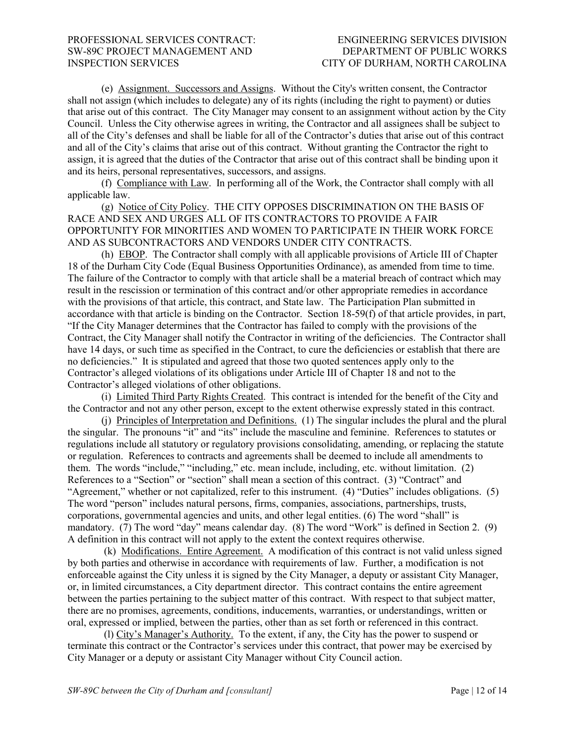(e) Assignment. Successors and Assigns. Without the City's written consent, the Contractor shall not assign (which includes to delegate) any of its rights (including the right to payment) or duties that arise out of this contract. The City Manager may consent to an assignment without action by the City Council. Unless the City otherwise agrees in writing, the Contractor and all assignees shall be subject to all of the City's defenses and shall be liable for all of the Contractor's duties that arise out of this contract and all of the City's claims that arise out of this contract. Without granting the Contractor the right to assign, it is agreed that the duties of the Contractor that arise out of this contract shall be binding upon it and its heirs, personal representatives, successors, and assigns.

(f) Compliance with Law. In performing all of the Work, the Contractor shall comply with all applicable law.

(g) Notice of City Policy. THE CITY OPPOSES DISCRIMINATION ON THE BASIS OF RACE AND SEX AND URGES ALL OF ITS CONTRACTORS TO PROVIDE A FAIR OPPORTUNITY FOR MINORITIES AND WOMEN TO PARTICIPATE IN THEIR WORK FORCE AND AS SUBCONTRACTORS AND VENDORS UNDER CITY CONTRACTS.

(h) EBOP. The Contractor shall comply with all applicable provisions of Article III of Chapter 18 of the Durham City Code (Equal Business Opportunities Ordinance), as amended from time to time. The failure of the Contractor to comply with that article shall be a material breach of contract which may result in the rescission or termination of this contract and/or other appropriate remedies in accordance with the provisions of that article, this contract, and State law. The Participation Plan submitted in accordance with that article is binding on the Contractor. Section 18-59(f) of that article provides, in part, "If the City Manager determines that the Contractor has failed to comply with the provisions of the Contract, the City Manager shall notify the Contractor in writing of the deficiencies. The Contractor shall have 14 days, or such time as specified in the Contract, to cure the deficiencies or establish that there are no deficiencies." It is stipulated and agreed that those two quoted sentences apply only to the Contractor's alleged violations of its obligations under Article III of Chapter 18 and not to the Contractor's alleged violations of other obligations.

(i) Limited Third Party Rights Created. This contract is intended for the benefit of the City and the Contractor and not any other person, except to the extent otherwise expressly stated in this contract.

(j) Principles of Interpretation and Definitions. (1) The singular includes the plural and the plural the singular. The pronouns "it" and "its" include the masculine and feminine. References to statutes or regulations include all statutory or regulatory provisions consolidating, amending, or replacing the statute or regulation. References to contracts and agreements shall be deemed to include all amendments to them. The words "include," "including," etc. mean include, including, etc. without limitation. (2) References to a "Section" or "section" shall mean a section of this contract. (3) "Contract" and "Agreement," whether or not capitalized, refer to this instrument. (4) "Duties" includes obligations. (5) The word "person" includes natural persons, firms, companies, associations, partnerships, trusts, corporations, governmental agencies and units, and other legal entities. (6) The word "shall" is mandatory. (7) The word "day" means calendar day. (8) The word "Work" is defined in Section 2. (9) A definition in this contract will not apply to the extent the context requires otherwise.

(k) Modifications. Entire Agreement. A modification of this contract is not valid unless signed by both parties and otherwise in accordance with requirements of law. Further, a modification is not enforceable against the City unless it is signed by the City Manager, a deputy or assistant City Manager, or, in limited circumstances, a City department director. This contract contains the entire agreement between the parties pertaining to the subject matter of this contract. With respect to that subject matter, there are no promises, agreements, conditions, inducements, warranties, or understandings, written or oral, expressed or implied, between the parties, other than as set forth or referenced in this contract.

(l) City's Manager's Authority. To the extent, if any, the City has the power to suspend or terminate this contract or the Contractor's services under this contract, that power may be exercised by City Manager or a deputy or assistant City Manager without City Council action.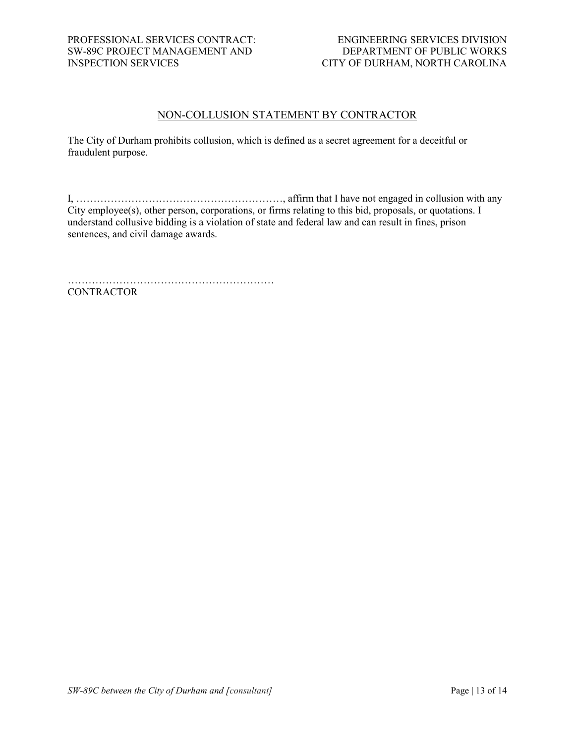### NON-COLLUSION STATEMENT BY CONTRACTOR

The City of Durham prohibits collusion, which is defined as a secret agreement for a deceitful or fraudulent purpose.

I, ……………………………………………………, affirm that I have not engaged in collusion with any City employee(s), other person, corporations, or firms relating to this bid, proposals, or quotations. I understand collusive bidding is a violation of state and federal law and can result in fines, prison sentences, and civil damage awards.

…………………………………………………… **CONTRACTOR**